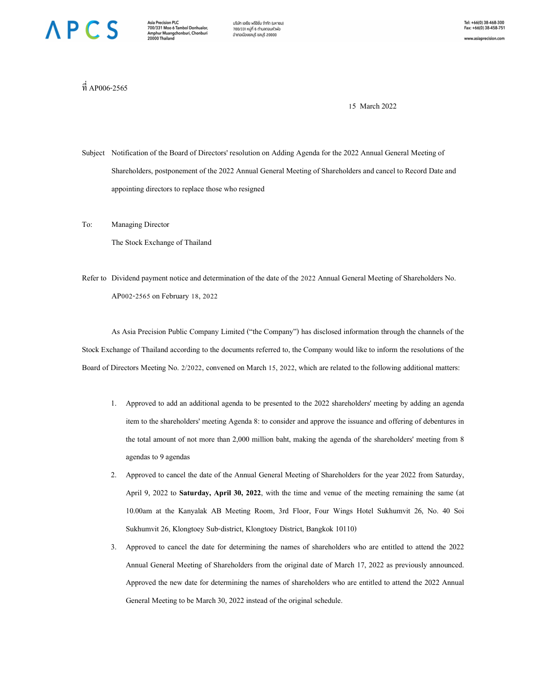บริษัท เอเซีย พรีซิชั่น จำกัด (มหาชน) 700/331 หม่ที่ 6 ตำบลดอนหัวฟอ อำเภอเมืองซลบุรี ซลบุรี 20000

 $\vec{\bar{\mathfrak{n}}}$  AP006-2565

15 March 2022

Subject Notification of the Board of Directors' resolution on Adding Agenda for the 2022 Annual General Meeting of Shareholders, postponement of the 2022 Annual General Meeting of Shareholders and cancel to Record Date and appointing directors to replace those who resigned

To: Managing Director

The Stock Exchange of Thailand

Refer to Dividend payment notice and determination of the date of the 2022 Annual General Meeting of Shareholders No. AP002-2565 on February 18, 2022

As Asia Precision Public Company Limited ("the Company") has disclosed information through the channels of the Stock Exchange of Thailand according to the documents referred to, the Company would like to inform the resolutions of the Board of Directors Meeting No. 2/2022, convened on March 15, 2022, which are related to the following additional matters:

- 1. Approved to add an additional agenda to be presented to the 2022 shareholders' meeting by adding an agenda item to the shareholders' meeting Agenda 8: to consider and approve the issuance and offering of debentures in the total amount of not more than 2,000 million baht, making the agenda of the shareholders' meeting from 8 agendas to 9 agendas
- 2. Approved to cancel the date of the Annual General Meeting of Shareholders for the year 2022 from Saturday, April 9, 2022 to Saturday, April 30, 2022, with the time and venue of the meeting remaining the same (at 10.00am at the Kanyalak AB Meeting Room, 3rd Floor, Four Wings Hotel Sukhumvit 26, No. 40 Soi Sukhumvit 26, Klongtoey Sub-district, Klongtoey District, Bangkok 10110)
- 3. Approved to cancel the date for determining the names of shareholders who are entitled to attend the 2022 Annual General Meeting of Shareholders from the original date of March 17, 2022 as previously announced. Approved the new date for determining the names of shareholders who are entitled to attend the 2022 Annual General Meeting to be March 30, 2022 instead of the original schedule.